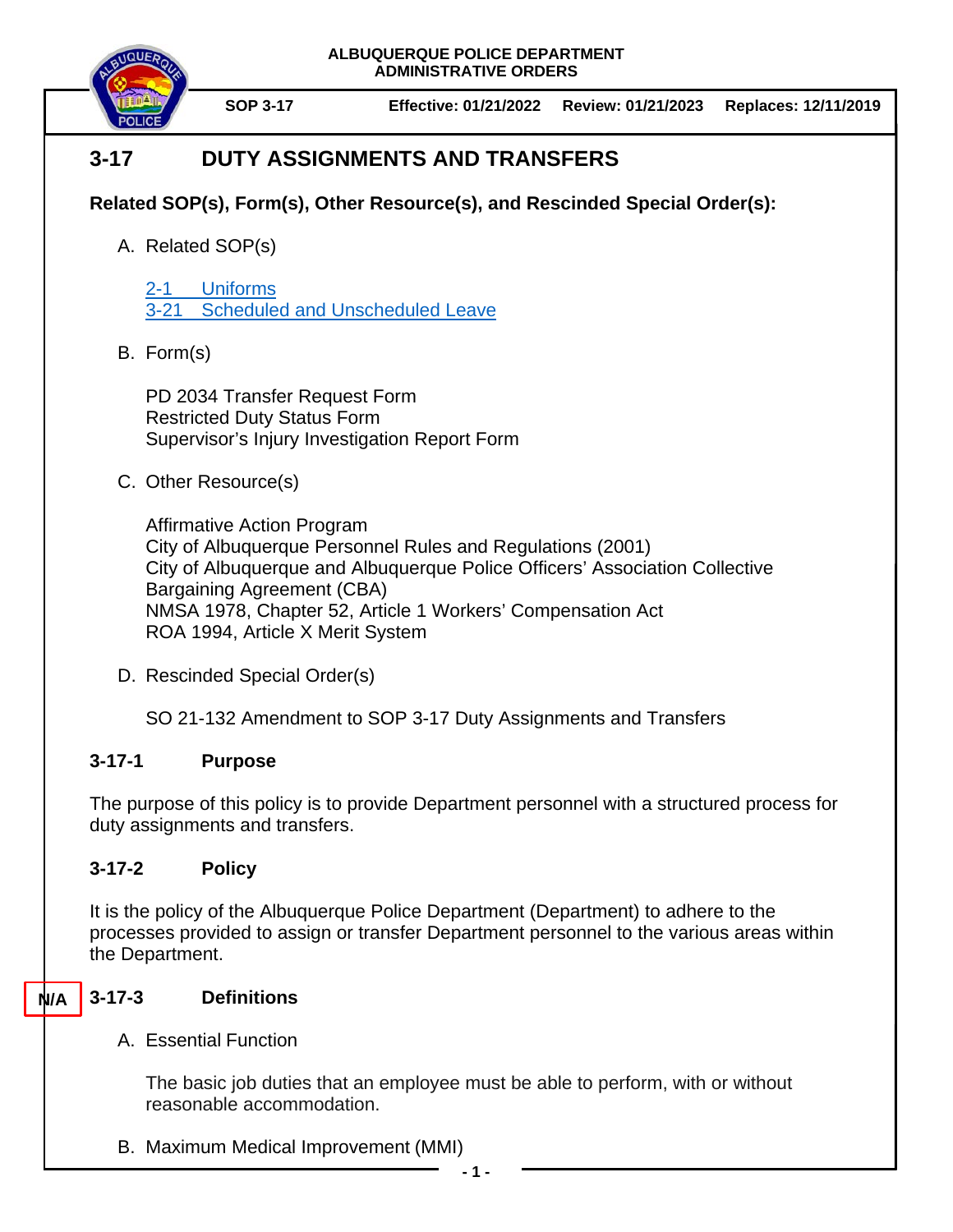

**SOP 3-17 Effective: 01/21/2022 Review: 01/21/2023 Replaces: 12/11/2019**

# **3-17 DUTY ASSIGNMENTS AND TRANSFERS**

## **Related SOP(s), Form(s), Other Resource(s), and Rescinded Special Order(s):**

A. Related SOP(s)

2-1 [Uniforms](https://powerdms.com/docs/84) 3-21 [Scheduled and Unscheduled Leave](https://powerdms.com/docs/213)

B. Form(s)

PD 2034 Transfer Request Form Restricted Duty Status Form Supervisor's Injury Investigation Report Form

C. Other Resource(s)

Affirmative Action Program City of Albuquerque Personnel Rules and Regulations (2001) City of Albuquerque and Albuquerque Police Officers' Association Collective Bargaining Agreement (CBA) NMSA 1978, Chapter 52, Article 1 Workers' Compensation Act ROA 1994, Article X Merit System

D. Rescinded Special Order(s)

SO 21-132 Amendment to SOP 3-17 Duty Assignments and Transfers

# **3-17-1 Purpose**

The purpose of this policy is to provide Department personnel with a structured process for duty assignments and transfers.

# **3-17-2 Policy**

It is the policy of the Albuquerque Police Department (Department) to adhere to the processes provided to assign or transfer Department personnel to the various areas within the Department.

### **3-17-3 Definitions N/A**

A. Essential Function

The basic job duties that an employee must be able to perform, with or without reasonable accommodation.

B. Maximum Medical Improvement (MMI)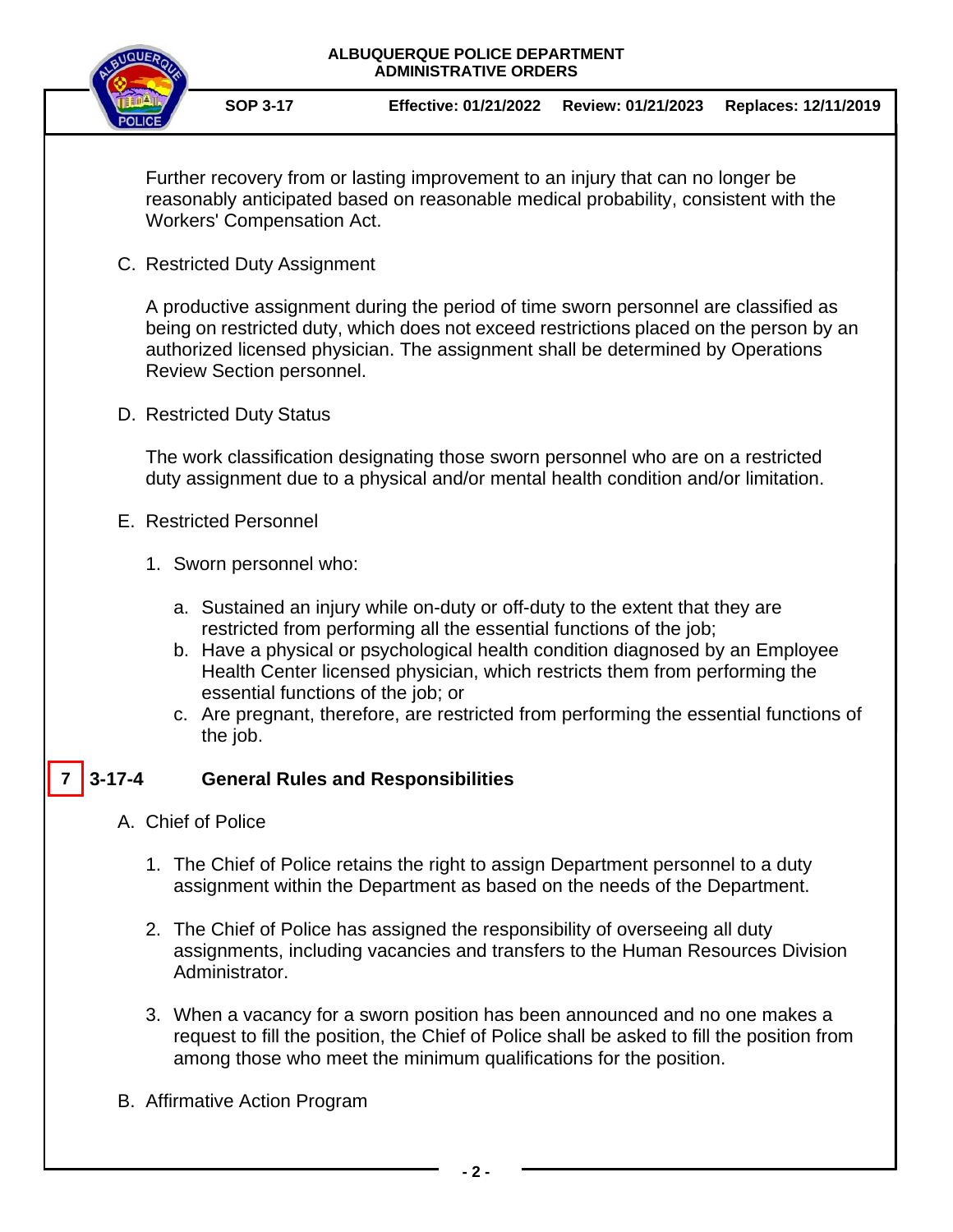

**SOP 3-17 Effective: 01/21/2022 Review: 01/21/2023 Replaces: 12/11/2019**

Further recovery from or lasting improvement to an injury that can no longer be reasonably anticipated based on reasonable medical probability, consistent with the Workers' Compensation Act.

C. Restricted Duty Assignment

A productive assignment during the period of time sworn personnel are classified as being on restricted duty, which does not exceed restrictions placed on the person by an authorized licensed physician. The assignment shall be determined by Operations Review Section personnel.

D. Restricted Duty Status

The work classification designating those sworn personnel who are on a restricted duty assignment due to a physical and/or mental health condition and/or limitation.

- E. Restricted Personnel
	- 1. Sworn personnel who:
		- a. Sustained an injury while on-duty or off-duty to the extent that they are restricted from performing all the essential functions of the job;
		- b. Have a physical or psychological health condition diagnosed by an Employee Health Center licensed physician, which restricts them from performing the essential functions of the job; or
		- c. Are pregnant, therefore, are restricted from performing the essential functions of the job.

#### **3-17-4 General Rules and Responsibilities 7**

- A. Chief of Police
	- 1. The Chief of Police retains the right to assign Department personnel to a duty assignment within the Department as based on the needs of the Department.
	- 2. The Chief of Police has assigned the responsibility of overseeing all duty assignments, including vacancies and transfers to the Human Resources Division Administrator.
	- 3. When a vacancy for a sworn position has been announced and no one makes a request to fill the position, the Chief of Police shall be asked to fill the position from among those who meet the minimum qualifications for the position.
- B. Affirmative Action Program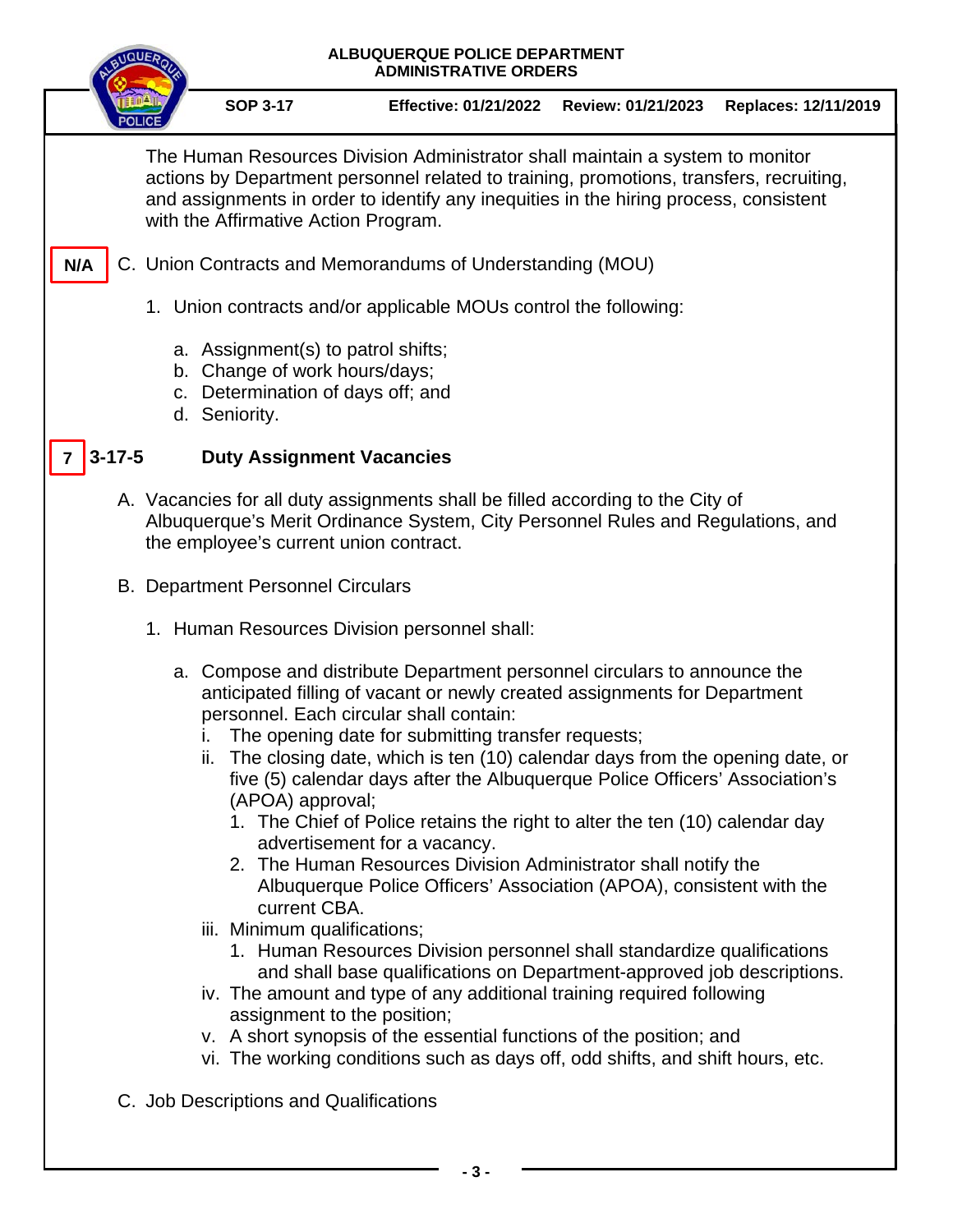# **ALBUQUERQUE POLICE DEPARTMENT ADMINISTRATIVE ORDERS SOP 3-17 Effective: 01/21/2022 Review: 01/21/2023 Replaces: 12/11/2019** The Human Resources Division Administrator shall maintain a system to monitor actions by Department personnel related to training, promotions, transfers, recruiting, and assignments in order to identify any inequities in the hiring process, consistent with the Affirmative Action Program. C. Union Contracts and Memorandums of Understanding (MOU) **N/A**

- 1. Union contracts and/or applicable MOUs control the following:
	- a. Assignment(s) to patrol shifts;
	- b. Change of work hours/days;
	- c. Determination of days off; and
	- d. Seniority.

#### **3-17-5 Duty Assignment Vacancies 7**

- A. Vacancies for all duty assignments shall be filled according to the City of Albuquerque's Merit Ordinance System, City Personnel Rules and Regulations, and the employee's current union contract.
- B. Department Personnel Circulars
	- 1. Human Resources Division personnel shall:
		- a. Compose and distribute Department personnel circulars to announce the anticipated filling of vacant or newly created assignments for Department personnel. Each circular shall contain:
			- i. The opening date for submitting transfer requests;
			- ii. The closing date, which is ten (10) calendar days from the opening date, or five (5) calendar days after the Albuquerque Police Officers' Association's (APOA) approval;
				- 1. The Chief of Police retains the right to alter the ten (10) calendar day advertisement for a vacancy.
				- 2. The Human Resources Division Administrator shall notify the Albuquerque Police Officers' Association (APOA), consistent with the current CBA.
			- iii. Minimum qualifications;
				- 1. Human Resources Division personnel shall standardize qualifications and shall base qualifications on Department-approved job descriptions.
			- iv. The amount and type of any additional training required following assignment to the position;
			- v. A short synopsis of the essential functions of the position; and
			- vi. The working conditions such as days off, odd shifts, and shift hours, etc.
- C. Job Descriptions and Qualifications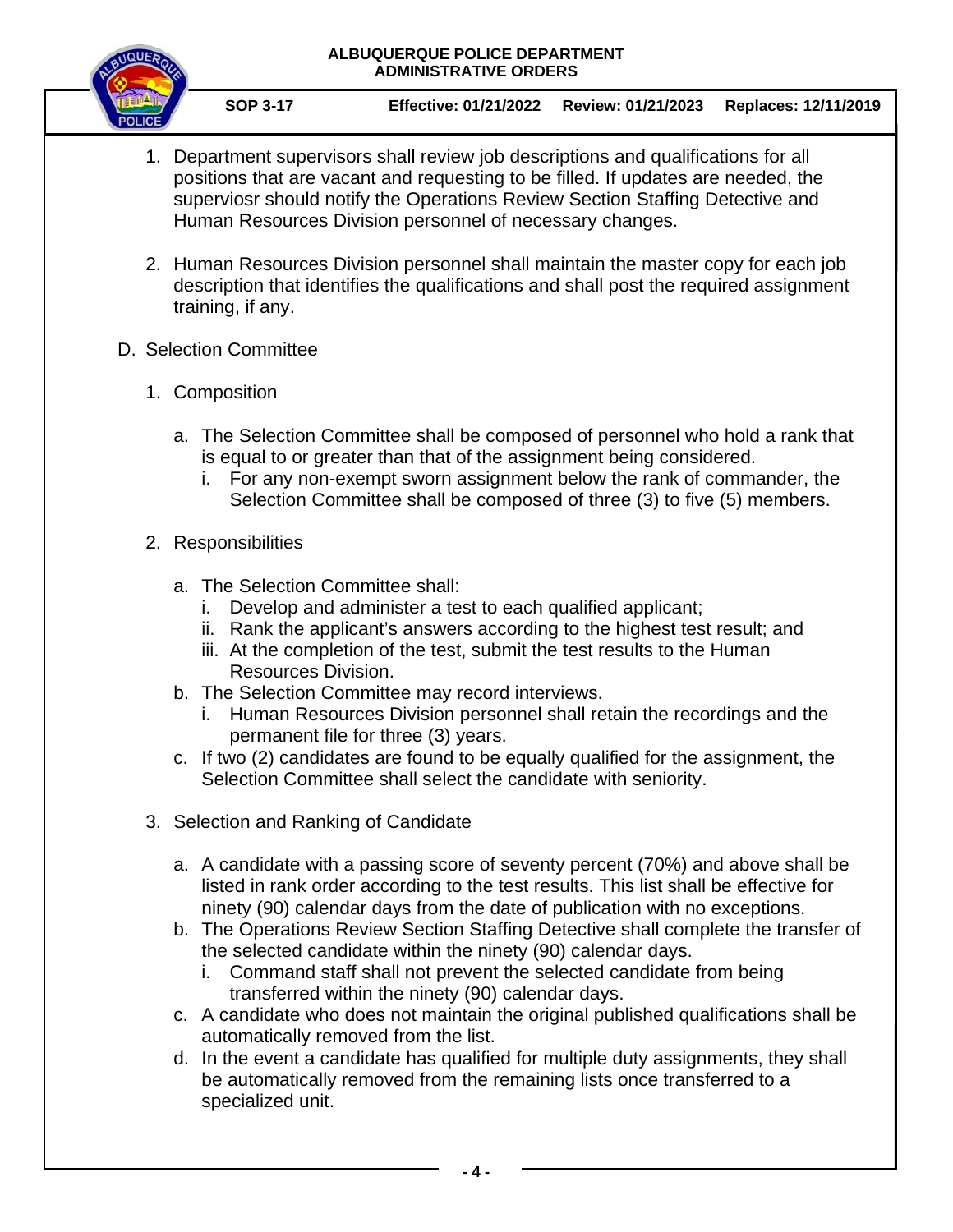

**SOP 3-17 Effective: 01/21/2022 Review: 01/21/2023 Replaces: 12/11/2019**

- 1. Department supervisors shall review job descriptions and qualifications for all positions that are vacant and requesting to be filled. If updates are needed, the superviosr should notify the Operations Review Section Staffing Detective and Human Resources Division personnel of necessary changes.
- 2. Human Resources Division personnel shall maintain the master copy for each job description that identifies the qualifications and shall post the required assignment training, if any.
- D. Selection Committee
	- 1. Composition
		- a. The Selection Committee shall be composed of personnel who hold a rank that is equal to or greater than that of the assignment being considered.
			- i. For any non-exempt sworn assignment below the rank of commander, the Selection Committee shall be composed of three (3) to five (5) members.
	- 2. Responsibilities
		- a. The Selection Committee shall:
			- i. Develop and administer a test to each qualified applicant;
			- ii. Rank the applicant's answers according to the highest test result; and
			- iii. At the completion of the test, submit the test results to the Human Resources Division.
		- b. The Selection Committee may record interviews.
			- i. Human Resources Division personnel shall retain the recordings and the permanent file for three (3) years.
		- c. If two (2) candidates are found to be equally qualified for the assignment, the Selection Committee shall select the candidate with seniority.
	- 3. Selection and Ranking of Candidate
		- a. A candidate with a passing score of seventy percent (70%) and above shall be listed in rank order according to the test results. This list shall be effective for ninety (90) calendar days from the date of publication with no exceptions.
		- b. The Operations Review Section Staffing Detective shall complete the transfer of the selected candidate within the ninety (90) calendar days.
			- i. Command staff shall not prevent the selected candidate from being transferred within the ninety (90) calendar days.
		- c. A candidate who does not maintain the original published qualifications shall be automatically removed from the list.
		- d. In the event a candidate has qualified for multiple duty assignments, they shall be automatically removed from the remaining lists once transferred to a specialized unit.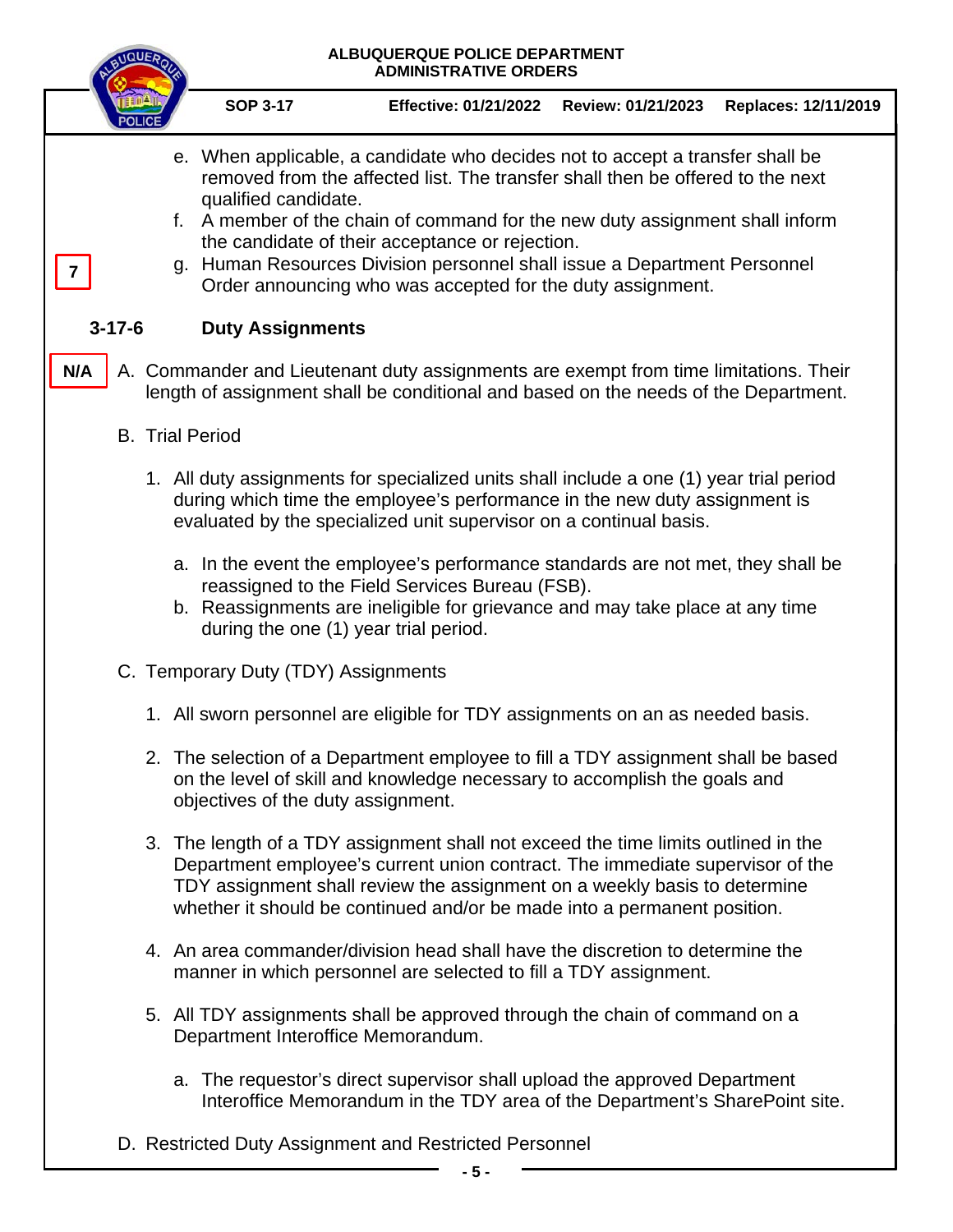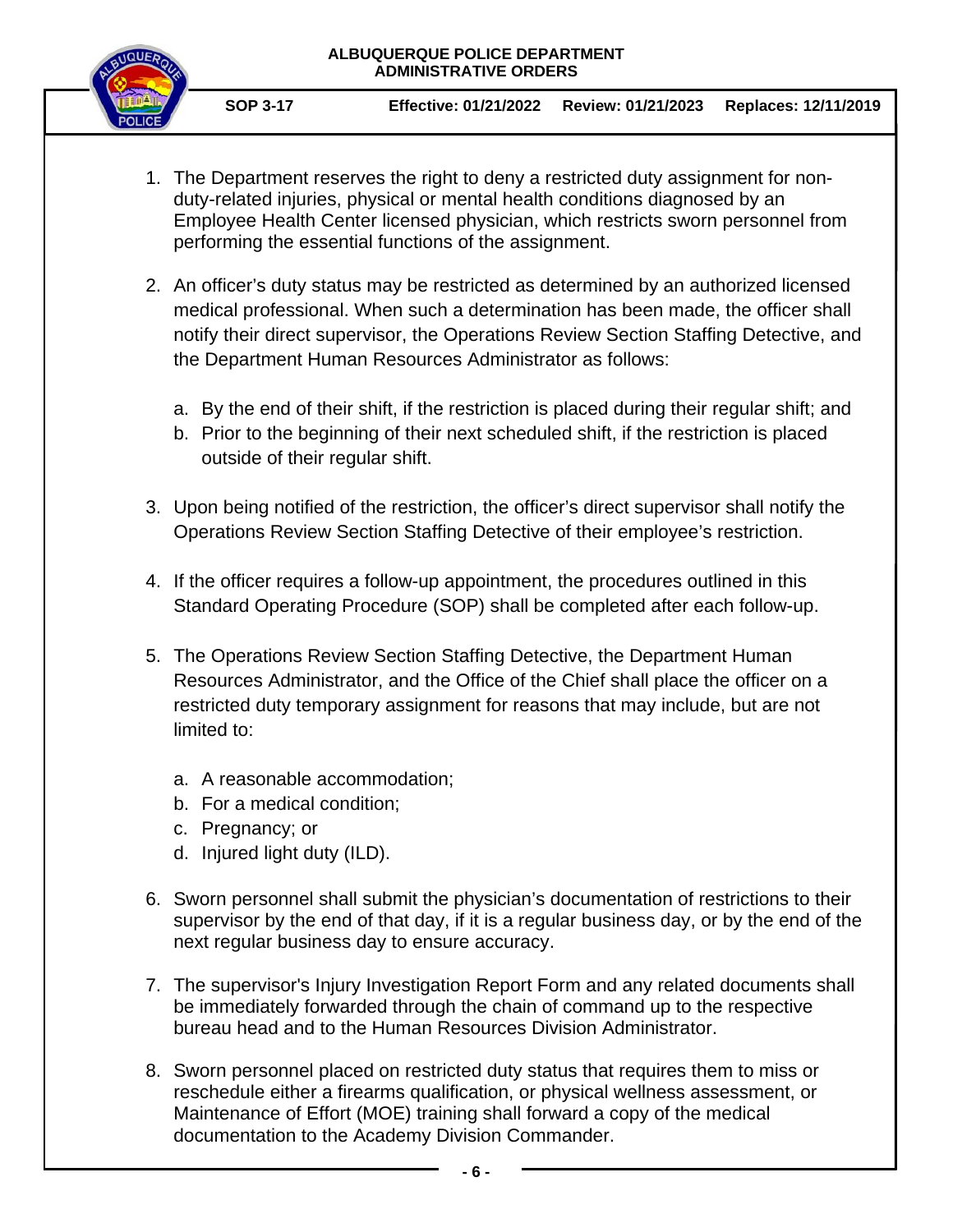

- 1. The Department reserves the right to deny a restricted duty assignment for nonduty-related injuries, physical or mental health conditions diagnosed by an Employee Health Center licensed physician, which restricts sworn personnel from performing the essential functions of the assignment.
- 2. An officer's duty status may be restricted as determined by an authorized licensed medical professional. When such a determination has been made, the officer shall notify their direct supervisor, the Operations Review Section Staffing Detective, and the Department Human Resources Administrator as follows:
	- a. By the end of their shift, if the restriction is placed during their regular shift; and
	- b. Prior to the beginning of their next scheduled shift, if the restriction is placed outside of their regular shift.
- 3. Upon being notified of the restriction, the officer's direct supervisor shall notify the Operations Review Section Staffing Detective of their employee's restriction.
- 4. If the officer requires a follow-up appointment, the procedures outlined in this Standard Operating Procedure (SOP) shall be completed after each follow-up.
- 5. The Operations Review Section Staffing Detective, the Department Human Resources Administrator, and the Office of the Chief shall place the officer on a restricted duty temporary assignment for reasons that may include, but are not limited to:
	- a. A reasonable accommodation;
	- b. For a medical condition;
	- c. Pregnancy; or
	- d. Injured light duty (ILD).
- 6. Sworn personnel shall submit the physician's documentation of restrictions to their supervisor by the end of that day, if it is a regular business day, or by the end of the next regular business day to ensure accuracy.
- 7. The supervisor's Injury Investigation Report Form and any related documents shall be immediately forwarded through the chain of command up to the respective bureau head and to the Human Resources Division Administrator.
- 8. Sworn personnel placed on restricted duty status that requires them to miss or reschedule either a firearms qualification, or physical wellness assessment, or Maintenance of Effort (MOE) training shall forward a copy of the medical documentation to the Academy Division Commander.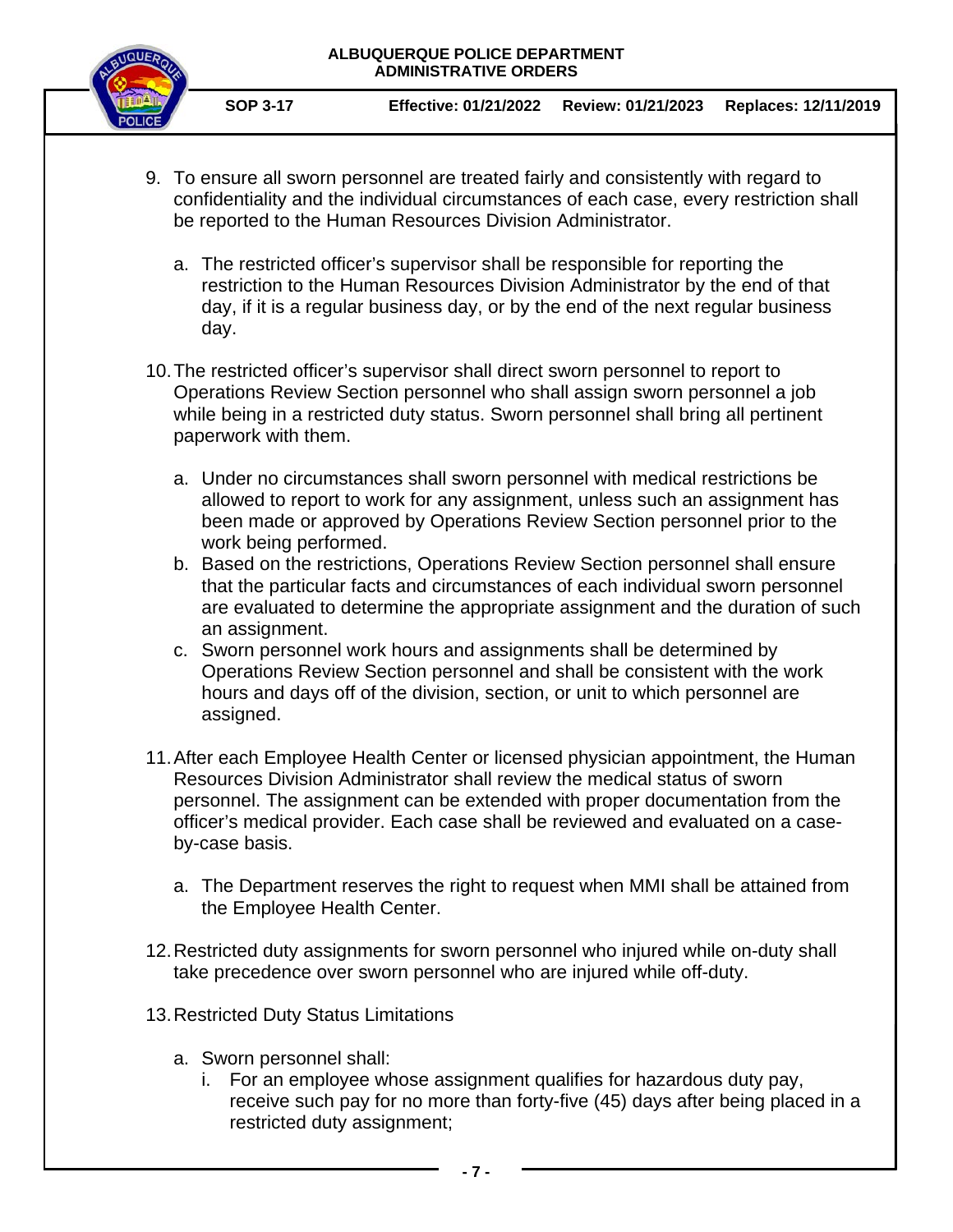

**SOP 3-17 Effective: 01/21/2022 Review: 01/21/2023 Replaces: 12/11/2019**

- 9. To ensure all sworn personnel are treated fairly and consistently with regard to confidentiality and the individual circumstances of each case, every restriction shall be reported to the Human Resources Division Administrator.
	- a. The restricted officer's supervisor shall be responsible for reporting the restriction to the Human Resources Division Administrator by the end of that day, if it is a regular business day, or by the end of the next regular business day.
- 10.The restricted officer's supervisor shall direct sworn personnel to report to Operations Review Section personnel who shall assign sworn personnel a job while being in a restricted duty status. Sworn personnel shall bring all pertinent paperwork with them.
	- a. Under no circumstances shall sworn personnel with medical restrictions be allowed to report to work for any assignment, unless such an assignment has been made or approved by Operations Review Section personnel prior to the work being performed.
	- b. Based on the restrictions, Operations Review Section personnel shall ensure that the particular facts and circumstances of each individual sworn personnel are evaluated to determine the appropriate assignment and the duration of such an assignment.
	- c. Sworn personnel work hours and assignments shall be determined by Operations Review Section personnel and shall be consistent with the work hours and days off of the division, section, or unit to which personnel are assigned.
- 11.After each Employee Health Center or licensed physician appointment, the Human Resources Division Administrator shall review the medical status of sworn personnel. The assignment can be extended with proper documentation from the officer's medical provider. Each case shall be reviewed and evaluated on a caseby-case basis.
	- a. The Department reserves the right to request when MMI shall be attained from the Employee Health Center.
- 12.Restricted duty assignments for sworn personnel who injured while on-duty shall take precedence over sworn personnel who are injured while off-duty.
- 13.Restricted Duty Status Limitations
	- a. Sworn personnel shall:
		- i. For an employee whose assignment qualifies for hazardous duty pay, receive such pay for no more than forty-five (45) days after being placed in a restricted duty assignment;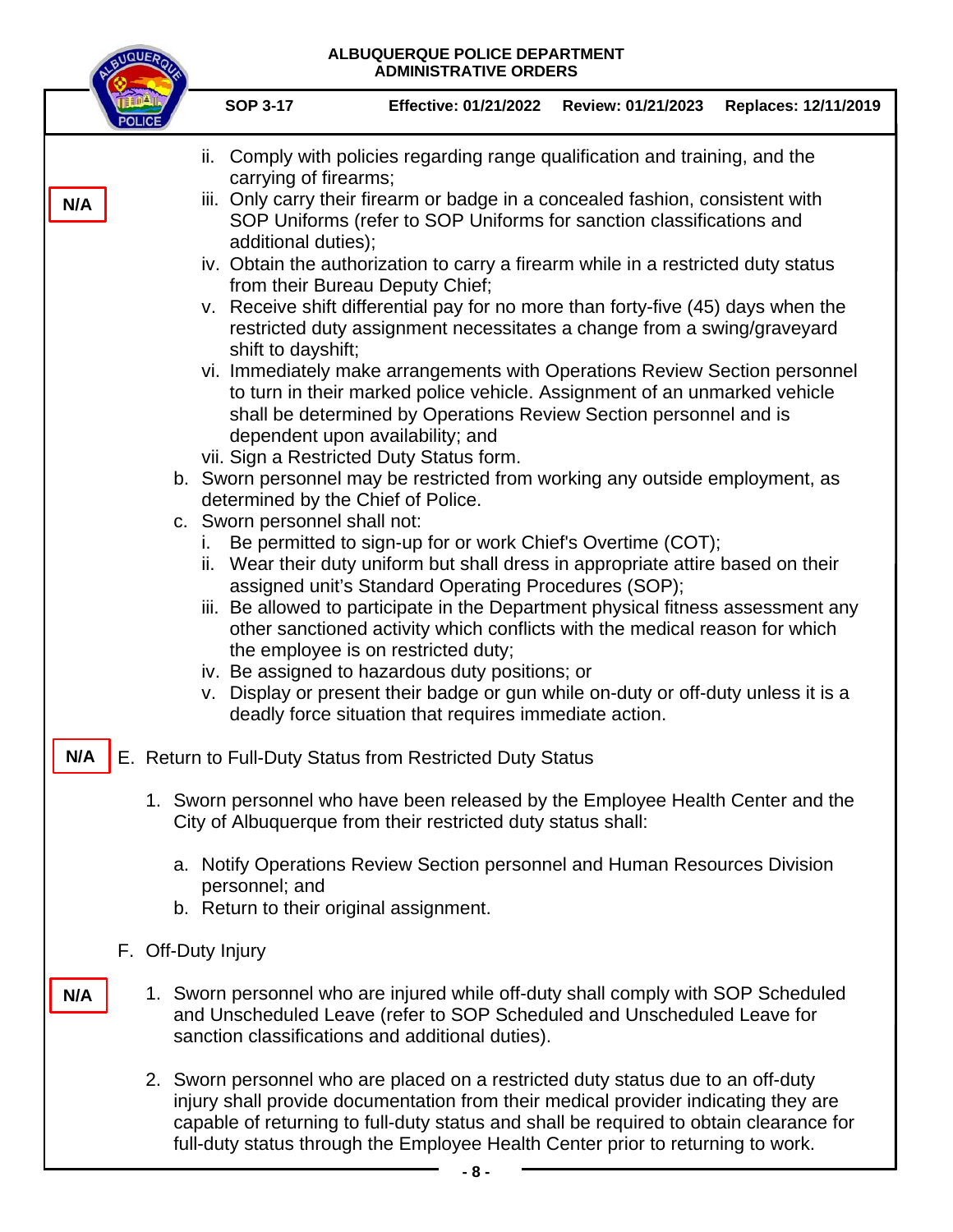BUQUEROL

|     | <b>SOP 3-17</b>                                                                                                                                 | <b>Effective: 01/21/2022</b>                                                                                                                                                                                                                                                                                                                                                                                                                                                                                                                                                                                                                                                                                                                                  | Review: 01/21/2023 | Replaces: 12/11/2019 |  |  |  |  |  |  |
|-----|-------------------------------------------------------------------------------------------------------------------------------------------------|---------------------------------------------------------------------------------------------------------------------------------------------------------------------------------------------------------------------------------------------------------------------------------------------------------------------------------------------------------------------------------------------------------------------------------------------------------------------------------------------------------------------------------------------------------------------------------------------------------------------------------------------------------------------------------------------------------------------------------------------------------------|--------------------|----------------------|--|--|--|--|--|--|
|     | ii.                                                                                                                                             | Comply with policies regarding range qualification and training, and the<br>carrying of firearms;                                                                                                                                                                                                                                                                                                                                                                                                                                                                                                                                                                                                                                                             |                    |                      |  |  |  |  |  |  |
| N/A | additional duties);<br>shift to dayshift;                                                                                                       | iii. Only carry their firearm or badge in a concealed fashion, consistent with<br>SOP Uniforms (refer to SOP Uniforms for sanction classifications and<br>iv. Obtain the authorization to carry a firearm while in a restricted duty status<br>from their Bureau Deputy Chief;<br>v. Receive shift differential pay for no more than forty-five (45) days when the<br>restricted duty assignment necessitates a change from a swing/graveyard<br>vi. Immediately make arrangements with Operations Review Section personnel<br>to turn in their marked police vehicle. Assignment of an unmarked vehicle<br>shall be determined by Operations Review Section personnel and is<br>dependent upon availability; and<br>vii. Sign a Restricted Duty Status form. |                    |                      |  |  |  |  |  |  |
|     |                                                                                                                                                 | b. Sworn personnel may be restricted from working any outside employment, as<br>determined by the Chief of Police.                                                                                                                                                                                                                                                                                                                                                                                                                                                                                                                                                                                                                                            |                    |                      |  |  |  |  |  |  |
|     | T.<br>ii.                                                                                                                                       | c. Sworn personnel shall not:<br>Be permitted to sign-up for or work Chief's Overtime (COT);<br>Wear their duty uniform but shall dress in appropriate attire based on their<br>assigned unit's Standard Operating Procedures (SOP);<br>iii. Be allowed to participate in the Department physical fitness assessment any<br>other sanctioned activity which conflicts with the medical reason for which<br>the employee is on restricted duty;<br>iv. Be assigned to hazardous duty positions; or<br>v. Display or present their badge or gun while on-duty or off-duty unless it is a<br>deadly force situation that requires immediate action.                                                                                                              |                    |                      |  |  |  |  |  |  |
| N/A |                                                                                                                                                 | E. Return to Full-Duty Status from Restricted Duty Status                                                                                                                                                                                                                                                                                                                                                                                                                                                                                                                                                                                                                                                                                                     |                    |                      |  |  |  |  |  |  |
|     | 1. Sworn personnel who have been released by the Employee Health Center and the<br>City of Albuquerque from their restricted duty status shall: |                                                                                                                                                                                                                                                                                                                                                                                                                                                                                                                                                                                                                                                                                                                                                               |                    |                      |  |  |  |  |  |  |
|     | a. Notify Operations Review Section personnel and Human Resources Division<br>personnel; and<br>b. Return to their original assignment.         |                                                                                                                                                                                                                                                                                                                                                                                                                                                                                                                                                                                                                                                                                                                                                               |                    |                      |  |  |  |  |  |  |
|     | F. Off-Duty Injury                                                                                                                              |                                                                                                                                                                                                                                                                                                                                                                                                                                                                                                                                                                                                                                                                                                                                                               |                    |                      |  |  |  |  |  |  |
| N/A |                                                                                                                                                 | 1. Sworn personnel who are injured while off-duty shall comply with SOP Scheduled<br>and Unscheduled Leave (refer to SOP Scheduled and Unscheduled Leave for<br>sanction classifications and additional duties).                                                                                                                                                                                                                                                                                                                                                                                                                                                                                                                                              |                    |                      |  |  |  |  |  |  |
|     |                                                                                                                                                 | 2. Sworn personnel who are placed on a restricted duty status due to an off-duty<br>injury shall provide documentation from their medical provider indicating they are<br>capable of returning to full-duty status and shall be required to obtain clearance for<br>full-duty status through the Employee Health Center prior to returning to work.                                                                                                                                                                                                                                                                                                                                                                                                           |                    |                      |  |  |  |  |  |  |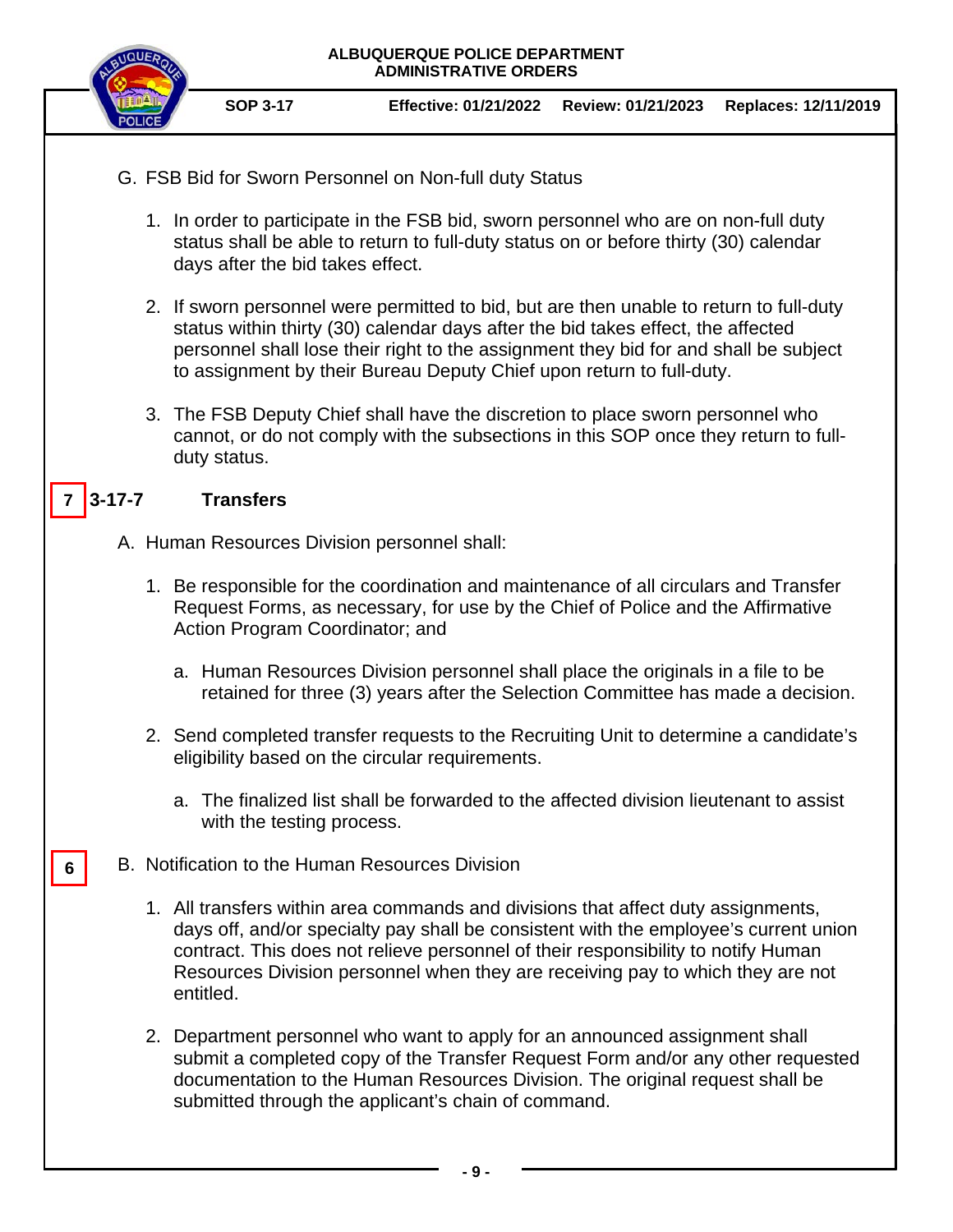